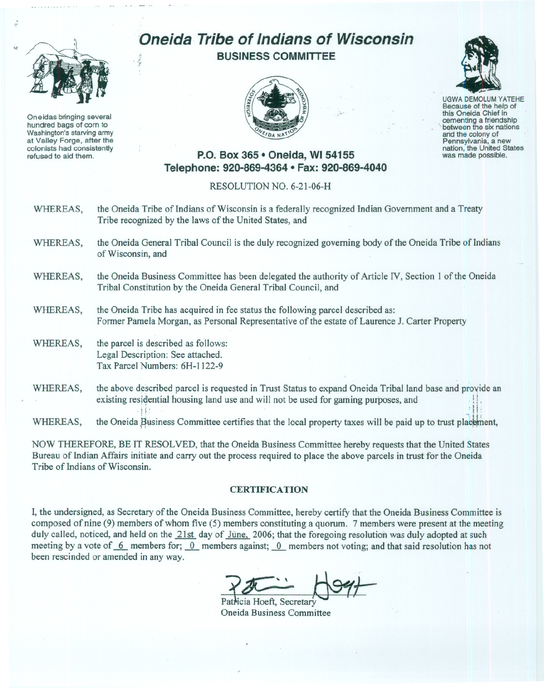

Oneidas bringing several hundred bags of corn to Washington's starving army at Valley Forge, after the colonists had consistently refused to aid them.

## .**'Oneida Tribe of Indians of Wisconsin BUSINESS COMMITTEE** *~t*





UGWA DEMOLUM YATEHE Because of the help of this Oneida Chief in cementing a friendship<br>between the six nations and the colony of<br>Pennsylvania, a new nation, the United States was made possible.

## **P.O. Box 365· Oneida,** WI 54155 **Telephone: 920-869-4364 • Fax: 920-869-4040**

## RESOLUTION NO. 6-21-06-H

- WHEREAS, the Oneida Tribe of Indians of Wisconsin is a federally recognized Indian Government and a Treaty Tribe recognized by the laws of the United States, and
- WHEREAS, the Oneida General Tribal Council is the duly recognized governing body of the Oneida Tribe of Indians of Wisconsin, and
- WHEREAS, the Oneida Business Committee has been delegated the authority of Article IV, Section I of the Oneida Tribal Constitution by the Oneida General Tribal Council, and
- WHEREAS, the Oneida Tribe has acquired in fee status the following parcel described as: Former Pamela Morgan, as Personal Representative of the estate of Laurence J. Carter Property
- WHEREAS, the parcel is described as follows: Legal Description: See attached. Tax Parcel Numbers: 6H-1122-9
- WHEREAS, the above described parcel is requested in Trust Status to expand Oneida Tribal land base and provide an existing residential housing land use and will not be used for gaming purposes, and

WHEREAS, the Oneida Business Committee certifies that the local property taxes will be paid up to trust placement,

NOW THEREFORE, BE IT RESOLVED, that the Oneida Business Committee hereby requests that the United States Bureau of Indian Affairs initiate and carry out the process required to place the above parcels in trust for the Oneida Tribe of Indians of Wisconsin.

## **CERTIFICATION**

I, the undersigned, as Secretary of the Oneida Business Committee, hereby certify that the Oneida Business Committee is composed of nine (9) members of whom five (5) members constituting a quorum. 7 members were present at the meeting duly called, noticed, and held on the 21st day of Jūne, 2006; that the foregoing resolution was duly adopted at such meeting by a vote of  $-6$  members for;  $-0$  members against;  $-0$  members not voting; and that said resolution has not been rescinded or amended in any way.

Patricia Hoeft, Secretary Oneida Business Committee